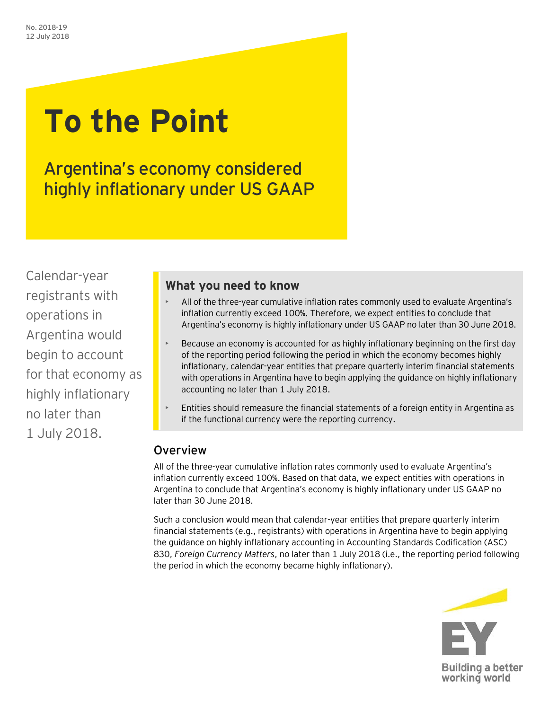# **To the Point**

Argentina's economy considered highly inflationary under US GAAP

Calendar-year registrants with operations in Argentina would begin to account for that economy as highly inflationary no later than 1 July 2018.

## **What you need to know**

- All of the three-year cumulative inflation rates commonly used to evaluate Argentina's inflation currently exceed 100%. Therefore, we expect entities to conclude that Argentina's economy is highly inflationary under US GAAP no later than 30 June 2018.
- Because an economy is accounted for as highly inflationary beginning on the first day of the reporting period following the period in which the economy becomes highly inflationary, calendar-year entities that prepare quarterly interim financial statements with operations in Argentina have to begin applying the guidance on highly inflationary accounting no later than 1 July 2018.
- Entities should remeasure the financial statements of a foreign entity in Argentina as if the functional currency were the reporting currency.

## Overview

All of the three-year cumulative inflation rates commonly used to evaluate Argentina's inflation currently exceed 100%. Based on that data, we expect entities with operations in Argentina to conclude that Argentina's economy is highly inflationary under US GAAP no later than 30 June 2018.

Such a conclusion would mean that calendar-year entities that prepare quarterly interim financial statements (e.g., registrants) with operations in Argentina have to begin applying the guidance on highly inflationary accounting in Accounting Standards Codification (ASC) 830, *Foreign Currency Matters*, no later than 1 July 2018 (i.e., the reporting period following the period in which the economy became highly inflationary).

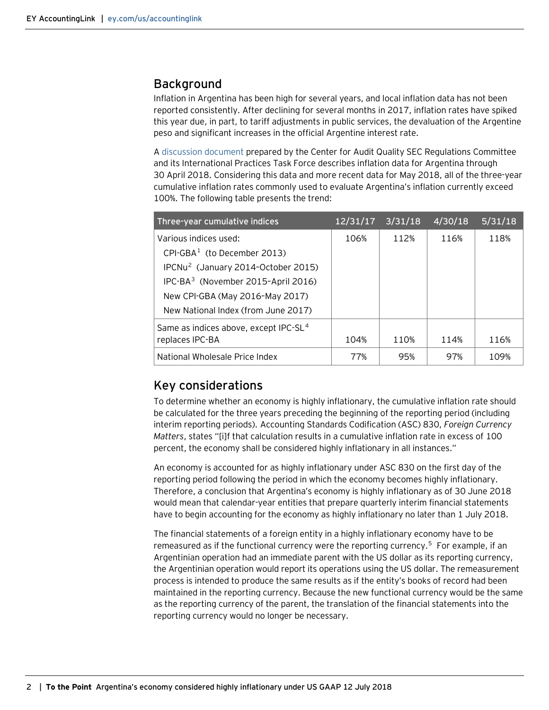### Background

Inflation in Argentina has been high for several years, and local inflation data has not been reported consistently. After declining for several months in 2017, inflation rates have spiked this year due, in part, to tariff adjustments in public services, the devaluation of the Argentine peso and significant increases in the official Argentine interest rate.

[A discussion document](https://www.thecaq.org/sites/default/files/caq_iptf_monitoring_inflation_2018-05.pdf) prepared by the Center for Audit Quality SEC Regulations Committee and its International Practices Task Force describes inflation data for Argentina through 30 April 2018. Considering this data and more recent data for May 2018, all of the three-year cumulative inflation rates commonly used to evaluate Argentina's inflation currently exceed 100%. The following table presents the trend:

| Three-year cumulative indices                     | 12/31/17 | 3/31/18 | 4/30/18 | 5/31/18 |
|---------------------------------------------------|----------|---------|---------|---------|
| Various indices used:                             | 106%     | 112%    | 116%    | 118%    |
| $CPI-GBA1$ (to December 2013)                     |          |         |         |         |
| IPCNu <sup>2</sup> (January 2014-October 2015)    |          |         |         |         |
| IPC-BA <sup>3</sup> (November 2015-April 2016)    |          |         |         |         |
| New CPI-GBA (May 2016-May 2017)                   |          |         |         |         |
| New National Index (from June 2017)               |          |         |         |         |
| Same as indices above, except IPC-SL <sup>4</sup> |          |         |         |         |
| replaces IPC-BA                                   | 104%     | 110%    | 114%    | 116%    |
| National Wholesale Price Index                    | 77%      | 95%     | 97%     | 109%    |

## Key considerations

To determine whether an economy is highly inflationary, the cumulative inflation rate should be calculated for the three years preceding the beginning of the reporting period (including interim reporting periods). Accounting Standards Codification (ASC) 830, *Foreign Currency Matters*, states "[i]f that calculation results in a cumulative inflation rate in excess of 100 percent, the economy shall be considered highly inflationary in all instances."

An economy is accounted for as highly inflationary under ASC 830 on the first day of the reporting period following the period in which the economy becomes highly inflationary. Therefore, a conclusion that Argentina's economy is highly inflationary as of 30 June 2018 would mean that calendar-year entities that prepare quarterly interim financial statements have to begin accounting for the economy as highly inflationary no later than 1 July 2018.

The financial statements of a foreign entity in a highly inflationary economy have to be remeasured as if the functional currency were the reporting currency.<sup>[5](#page-2-4)</sup> For example, if an Argentinian operation had an immediate parent with the US dollar as its reporting currency, the Argentinian operation would report its operations using the US dollar. The remeasurement process is intended to produce the same results as if the entity's books of record had been maintained in the reporting currency. Because the new functional currency would be the same as the reporting currency of the parent, the translation of the financial statements into the reporting currency would no longer be necessary.